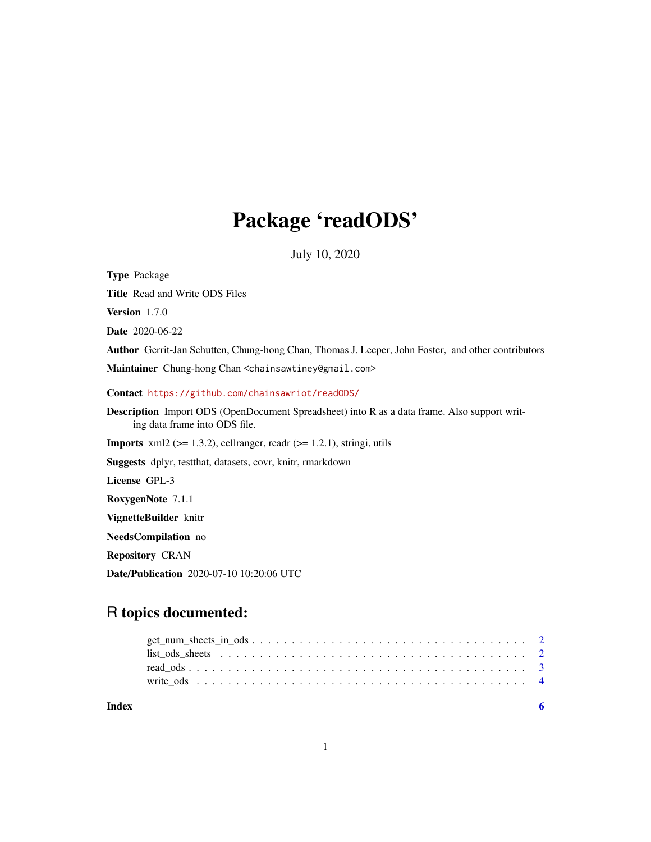## Package 'readODS'

July 10, 2020

<span id="page-0-0"></span>Type Package Title Read and Write ODS Files Version 1.7.0 Date 2020-06-22 Author Gerrit-Jan Schutten, Chung-hong Chan, Thomas J. Leeper, John Foster, and other contributors Maintainer Chung-hong Chan <chainsawtiney@gmail.com> Contact <https://github.com/chainsawriot/readODS/> Description Import ODS (OpenDocument Spreadsheet) into R as a data frame. Also support writing data frame into ODS file. **Imports** xml2 ( $>= 1.3.2$ ), cellranger, readr ( $>= 1.2.1$ ), stringi, utils Suggests dplyr, testthat, datasets, covr, knitr, rmarkdown License GPL-3 RoxygenNote 7.1.1 VignetteBuilder knitr NeedsCompilation no Repository CRAN Date/Publication 2020-07-10 10:20:06 UTC

### R topics documented:

| Index |  |
|-------|--|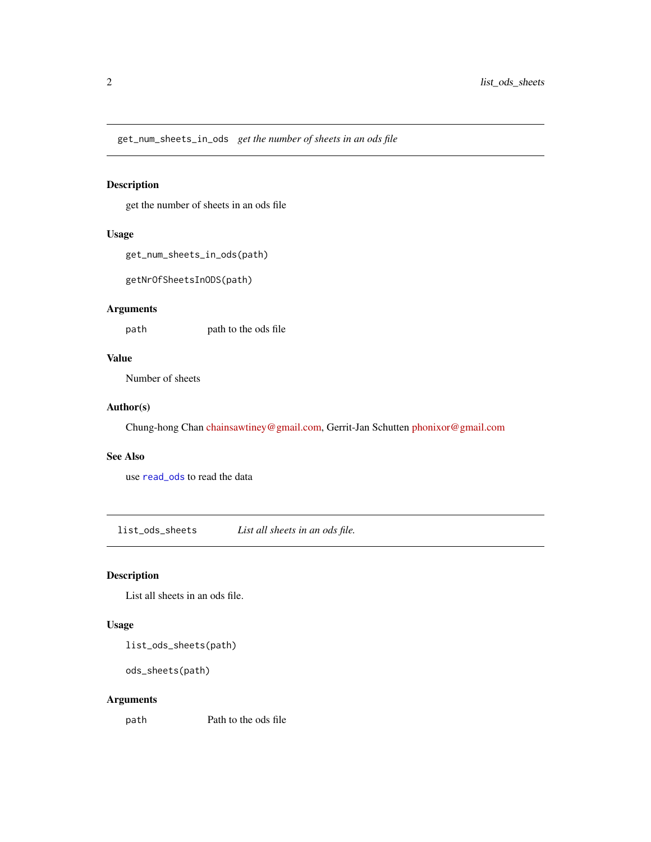<span id="page-1-0"></span>get\_num\_sheets\_in\_ods *get the number of sheets in an ods file*

#### Description

get the number of sheets in an ods file

#### Usage

```
get_num_sheets_in_ods(path)
```
getNrOfSheetsInODS(path)

#### Arguments

path path to the ods file

#### Value

Number of sheets

#### Author(s)

Chung-hong Chan [chainsawtiney@gmail.com,](mailto:chainsawtiney@gmail.com) Gerrit-Jan Schutten [phonixor@gmail.com](mailto:phonixor@gmail.com)

#### See Also

use [read\\_ods](#page-2-1) to read the data

list\_ods\_sheets *List all sheets in an ods file.*

#### Description

List all sheets in an ods file.

#### Usage

list\_ods\_sheets(path)

ods\_sheets(path)

#### Arguments

path Path to the ods file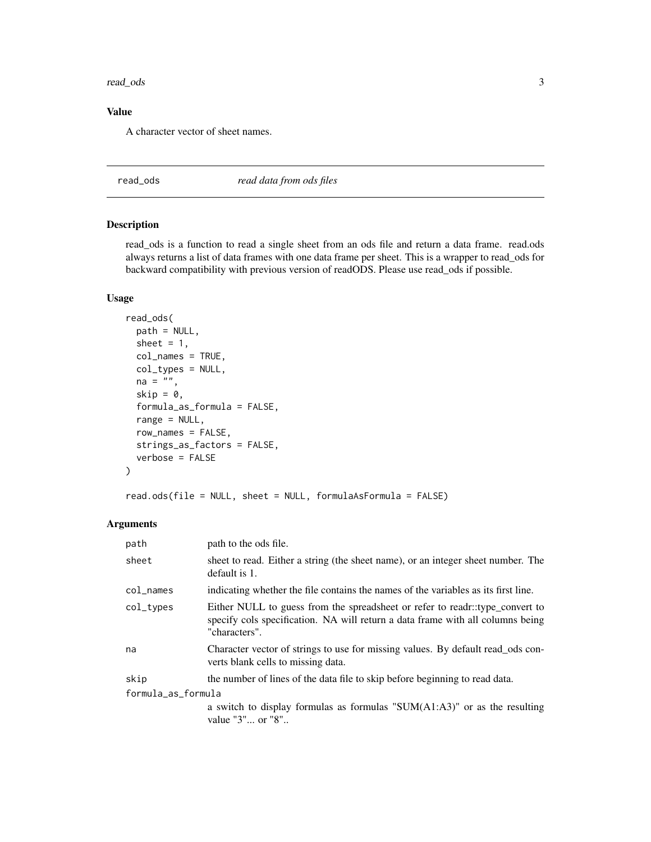#### <span id="page-2-0"></span>read\_ods 3

#### Value

A character vector of sheet names.

<span id="page-2-1"></span>read\_ods *read data from ods files*

#### Description

read\_ods is a function to read a single sheet from an ods file and return a data frame. read.ods always returns a list of data frames with one data frame per sheet. This is a wrapper to read\_ods for backward compatibility with previous version of readODS. Please use read\_ods if possible.

#### Usage

```
read_ods(
 path = NULL,
  sheet = 1,
  col_names = TRUE,
  col_types = NULL,
 na = "",skip = 0,formula_as_formula = FALSE,
  range = NULL,
  row_names = FALSE,
  strings_as_factors = FALSE,
  verbose = FALSE
\mathcal{L}
```
read.ods(file = NULL, sheet = NULL, formulaAsFormula = FALSE)

#### Arguments

| path               | path to the ods file.                                                                                                                                                           |
|--------------------|---------------------------------------------------------------------------------------------------------------------------------------------------------------------------------|
| sheet              | sheet to read. Either a string (the sheet name), or an integer sheet number. The<br>default is 1.                                                                               |
| $col$ $\_names$    | indicating whether the file contains the names of the variables as its first line.                                                                                              |
| col_types          | Either NULL to guess from the spreadsheet or refer to readr::type_convert to<br>specify cols specification. NA will return a data frame with all columns being<br>"characters". |
| na                 | Character vector of strings to use for missing values. By default read_ods con-<br>verts blank cells to missing data.                                                           |
| skip               | the number of lines of the data file to skip before beginning to read data.                                                                                                     |
| formula_as_formula |                                                                                                                                                                                 |
|                    | a switch to display formulas as formulas " $SUM(A1:A3)$ " or as the resulting<br>value "3" or "8"                                                                               |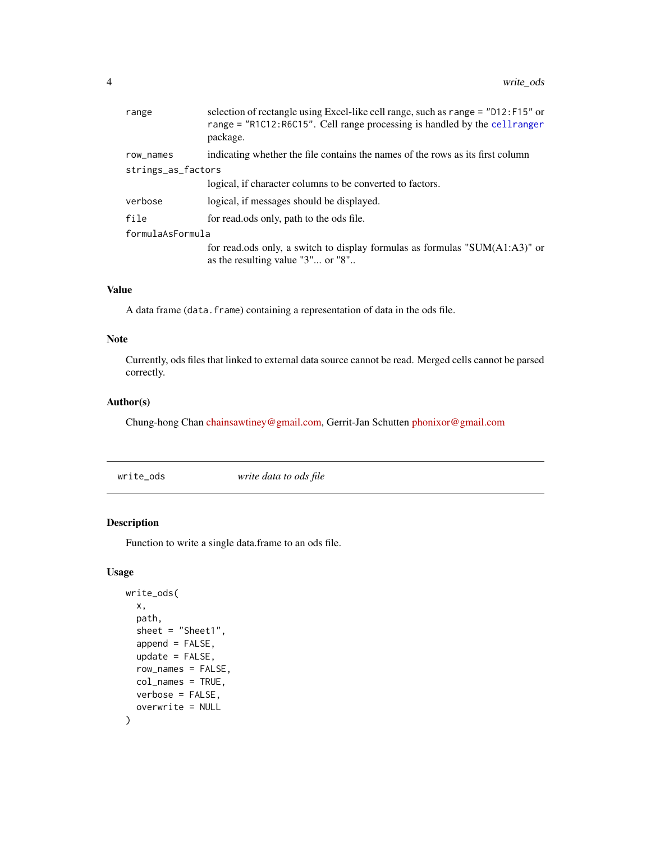<span id="page-3-0"></span>

| range              | selection of rectangle using Excel-like cell range, such as range = "D12:F15" or<br>range = "R1C12:R6C15". Cell range processing is handled by the cell ranger<br>package. |
|--------------------|----------------------------------------------------------------------------------------------------------------------------------------------------------------------------|
| row_names          | indicating whether the file contains the names of the rows as its first column                                                                                             |
| strings_as_factors |                                                                                                                                                                            |
|                    | logical, if character columns to be converted to factors.                                                                                                                  |
| verbose            | logical, if messages should be displayed.                                                                                                                                  |
| file               | for read.ods only, path to the ods file.                                                                                                                                   |
| formulaAsFormula   |                                                                                                                                                                            |
|                    | for read.ods only, a switch to display formulas as formulas "SUM $(A1:A3)$ " or<br>as the resulting value "3" or "8"                                                       |

#### Value

A data frame (data.frame) containing a representation of data in the ods file.

#### Note

Currently, ods files that linked to external data source cannot be read. Merged cells cannot be parsed correctly.

#### Author(s)

Chung-hong Chan [chainsawtiney@gmail.com,](mailto:chainsawtiney@gmail.com) Gerrit-Jan Schutten [phonixor@gmail.com](mailto:phonixor@gmail.com)

write\_ods *write data to ods file*

#### Description

Function to write a single data.frame to an ods file.

#### Usage

```
write_ods(
  x,
  path,
  sheet = "Sheet1",
  append = FALSE,
  update = FALSE,
  row_names = FALSE,
  col_names = TRUE,
  verbose = FALSE,
  overwrite = NULL
\mathcal{E}
```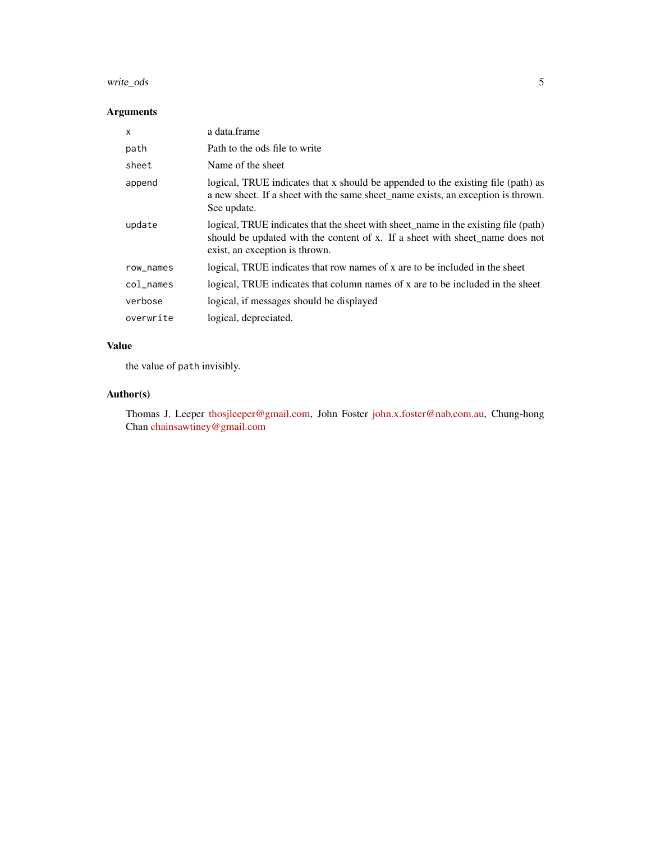#### write\_ods 5

#### Arguments

| X               | a data.frame                                                                                                                                                                                         |
|-----------------|------------------------------------------------------------------------------------------------------------------------------------------------------------------------------------------------------|
| path            | Path to the ods file to write                                                                                                                                                                        |
| sheet           | Name of the sheet                                                                                                                                                                                    |
| append          | logical, TRUE indicates that x should be appended to the existing file (path) as<br>a new sheet. If a sheet with the same sheet_name exists, an exception is thrown.<br>See update.                  |
| update          | logical, TRUE indicates that the sheet with sheet_name in the existing file (path)<br>should be updated with the content of x. If a sheet with sheet name does not<br>exist, an exception is thrown. |
| row_names       | logical, TRUE indicates that row names of x are to be included in the sheet                                                                                                                          |
| $col$ $\_names$ | logical, TRUE indicates that column names of x are to be included in the sheet                                                                                                                       |
| verbose         | logical, if messages should be displayed                                                                                                                                                             |
| overwrite       | logical, depreciated.                                                                                                                                                                                |

#### Value

the value of path invisibly.

#### Author(s)

Thomas J. Leeper [thosjleeper@gmail.com,](mailto:thosjleeper@gmail.com) John Foster [john.x.foster@nab.com.au,](mailto:john.x.foster@nab.com.au) Chung-hong Chan [chainsawtiney@gmail.com](mailto:chainsawtiney@gmail.com)